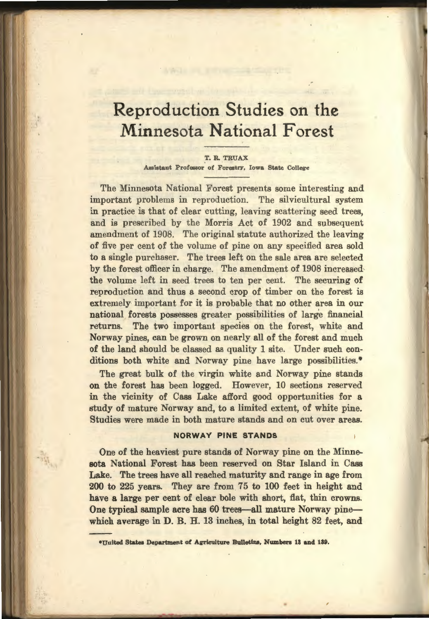# Reproduction Studies on the Minnesota National Forest

T. R. TRUAX Assistant Professor of Forestry, Iowa State College

The Minnesota National Forest presents some interesting and important problems in reproduction. The silvicultural system in practice is that of clear cutting, leaving scattering seed trees, and is prescribed by the Morris Act of 1902 and subsequent amendment of 1908. The original statute authorized the leaving of five per cent of the volume of pine on any specified area sold to a single purchaser. The trees left on the sale area are selected by the forest officer in charge. The amendment of 1908 increased, the volume left in seed trees to ten per cent. The securing of reproduction and thus a second crop of timber on the forest is extremely important for it is probable that no other area in our national forests possesses greater possibilities of large financial returns. The two important species on the forest, white and Norway pines, can be grown on nearly all of the forest and much of the land should be classed as quality 1 site. Under such conditions both white and Norway pine have large possibilities.\*

The great bulk of the virgin white and Norway pine stands on the forest has been logged. However, 10 sections reserved in the vicinity of Cass Lake afford good opportunities for a study of mature Norway and, to a limited extent, of white pine. Studies were made in both mature stands and on cut over areas.

## NORWAY PINE STANDS

One of the heaviest pure stands of Norway pine on the Minnesota National Forest has been reserved on Star Island in Cass Lake. The trees have all reached maturity and range in age from 200 to 225 years. They are from 75 to 100 feet in height and have a large per cent of clear bole with short, flat, thin crowns. One typical sample acre has 60 trees-all mature Norway pinewhich average in D. B. H. 13 inches, in total height 82 feet, and

•United States Department of Agriculture Bulletins, Numbers 13 and 189.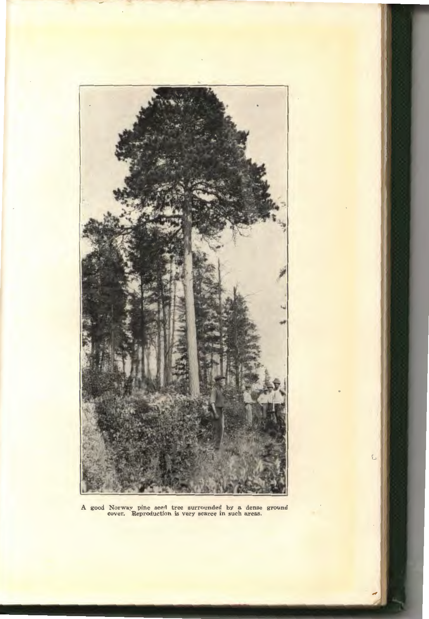

A good Norway pine seed tree surrounded by a dense ground cover. Reproduction is very scarce in such areas.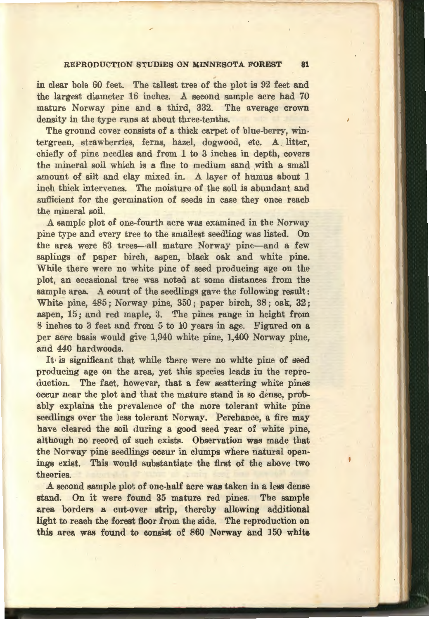## REPRODUCTION STUDIES ON MINNESOTA FOREST 81

in clear bole 60 feet. The tallest tree of the plot is 92 feet and the largest diameter 16 inches. A second sample acre had 70 mature Norway pine and a third, 332. The average crown density in the type runs at about three-tenths.

The ground cover consists of a thick carpet of blue-berry, wintergreen, strawberries, ferns, hazel, dogwood, etc. A litter, chiefly of pine needles and from 1 to 3 inches in depth, covers the mineral soil which is a fine to medium sand with a small amount of silt and clay mixed in. A layer of humus about 1 inch thick intervenes. The moisture of the soil is abundant and sufficient for the germination of seeds in case they once reach the mineral soil.

A sample plot of one-fourth acre was examined in the Norway pine type and every tree to the smallest seedling was listed. On the area were 83 trees-all mature Norway pine--and a few saplings of paper birch, aspen, black oak and white pine. While there were no white pine of seed producing age on the plot, an occasional tree was noted at some distances from the sample area. A count of the seedlings gave the following result: White pine, 485; Norway pine, 350; paper birch, 38; oak, 32; aspen, 15; and red maple, 3. The pines range in height from 8 inches to 3 feet and from 5 to 10 years in age. Figured on a per acre basis would give 1,940 white pine, 1,400 Norway pine, and 440 hardwoods.

It' is significant that while there were no white pine of seed producing age on the area, yet this species leads in the reproduction. The fact, however, that a few scattering white pines occur near the plot and that the mature stand is so dense, probably explains the prevalence of the more tolerant white pine seedlings over the less tolerant Norway. Perchance, a fire may have cleared the soil during a good seed year of white pine, although no record of such exists. Observation was made that the Norway pine seedlings occur in clumps where natural openings exist. This would substantiate the first of the above two theories.

A second sample plot of one-half acre was taken in a less dense stand. On it were found 35 mature red pines. The sample area borders a cut-over strip, thereby allowing additional light to reach the forest floor from the side. The reproduction on this area was found to consist of 860 Norway and 150 white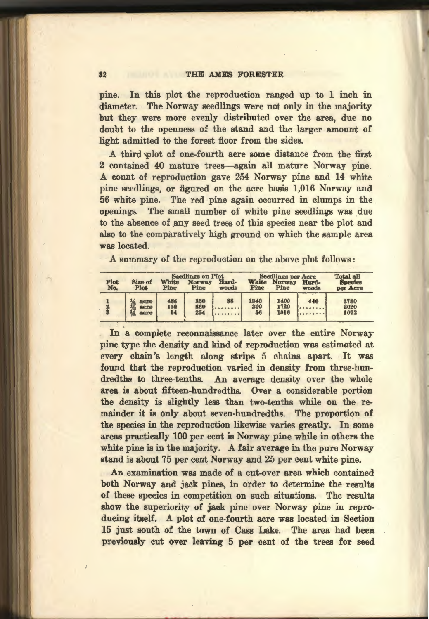#### 82 THE AMES FORESTER

pine. In this plot the reproduction ranged up to 1 inch in diameter. The Norway seedlings were not only in the majority but they were more evenly distributed over the area, due no doubt to the openness of the stand and the larger amount of light admitted to the forest floor from the sides.

A third plot of one-fourth acre some distance from the first 2 contained 40 mature trees-again all mature Norway pine. A count of reproduction gave 254 Norway pine and 14 white pine seedlings, or figured on the acre basis 1,016 Norway and 56 white pine. The red pine again occurred in clumps in the openings. The small number of white pine seedlings was due to the absence of any seed trees of this species near the plot and also to the comparatively high ground on which the sample area was located.

A summary of the reproduction on the above plot follows:

| Plot<br>No. | Size of<br>Plot      | White<br>Pine    | <b>Seedlings on Plot</b><br><b>Norway</b><br>Pine | Hard-<br>woods | White<br>Pine     | <b>Seedlings per Acre</b><br>Norway<br>Pine | Hard-<br>woods | <b>Total all</b><br><b>Species</b><br>per Acre |
|-------------|----------------------|------------------|---------------------------------------------------|----------------|-------------------|---------------------------------------------|----------------|------------------------------------------------|
|             | acre<br>acre<br>acre | 485<br>150<br>14 | 350<br>860<br>254                                 | 88             | 1940<br>300<br>56 | 1400<br>1720<br>1016                        | 440            | 3780<br>2020<br>1072                           |

In a complete reconnaissance later over the entire Norway pine type the density and kind of reproduction was estimated at every chain's length along strips 5 chains apart. It was found that the reproduction varied in density from three-hundredths to three-tenths. An average density over the whole area is about fifteen-hundredths. Over a considerable portion the density is slightly less than two-tenths while on the remainder it is only about seven-hundredths. The proportion of the species in the reproduction likewise varies greatly. In some areas practically 100 per cent is Norway pine while in others the white pine is in the majority. A fair average in the pure Norway stand is about 75 per cent Norway and 25 per cent white pine.

An examination was made of a cut-over area which contained both Norway and jack pines, in order to determine the results of these species in competition on such situations. The results show the superiority of jack pine over Norway pine in reproducing itself. A plot of one-fourth acre was located in Section 15 just south of the town of Cass Lake. The area had been previously cut over leaving 5 per cent of the trees for seed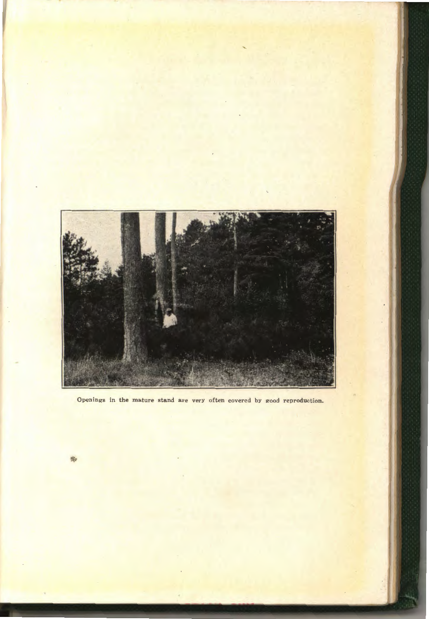

Openings in the mature stand are very often covered by good reproduction.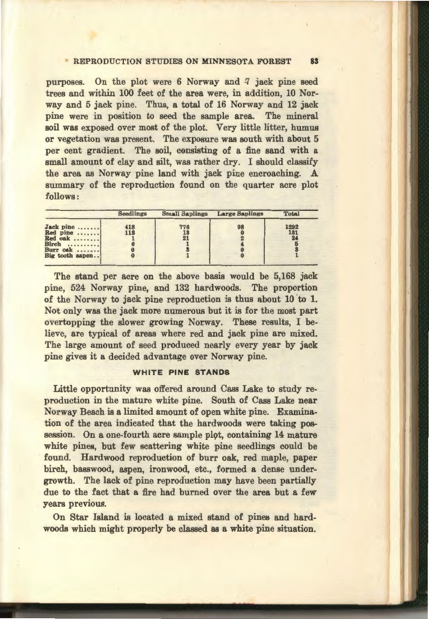### **REPRODUCTION STUDIES ON MINNESOTA FOREST 83**

purposes. On the plot were 6 Norway and 7 jack pine seed trees and within 100 feet of the area were, in addition, 10 Norway and 5 jack pine. Thus, a total of 16 Norway and 12 jack pine were in position to seed the sample area. The mineral soil was exposed over most of the plot. Very little litter, humus or vegetation was present. The exposure was south with about 5 per cent gradient. The soil, consisting of a fine sand with a small amount of clay and silt, was rather dry. I should classify the area as Norway pine land with jack pine encroaching. A summary of the reproduction found on the quarter acre plot follows:

|                                                                          | <b>Seedlings</b> | <b>Small Saplings</b> | Large Saplings | Total             |
|--------------------------------------------------------------------------|------------------|-----------------------|----------------|-------------------|
| Jack pine<br>Red pine<br>Red oak<br>Birch<br>Burr oak<br>Big tooth aspen | 418<br>118       | 776<br>13<br>21       | 98             | 1292<br>131<br>24 |

The stand per acre on the above basis would be 5,168 jack pine, 524 Norway pine, and 132 hardwoods. The proportion of the Norway to jack pine reproduction is thus about 10 'to 1. Not only was the jack more numerous but it is for the most part overtopping the slower growing Norway. These results, I believe, are typical of areas where red and jack pine are mixed. The large amount of seed produced nearly every year by jack pine gives it a decided advantage over Norway pine.

#### **WHITE PINE STANDS**

Little opportunity was offered around Cass Lake to study reproduction in the mature white pine. South of Cass Lake near Norway Beach is a limited amount of open white pine. Examination of the area indicated that the hardwoods were taking possession. On a one-fourth acre sample plot, containing 14 mature white pines, but few scattering white pine seedlings could be found. Hardwood reproduction of burr oak, red maple, paper birch, basswood, aspen, ironwood, etc., formed a dense undergrowth. The lack of pine reproduction may have been partially due to the fact that a fire had burned over the area but a few years previous.

On Star Island is located a mixed stand of pines and hardwoods which might properly be classed as a white pine situation.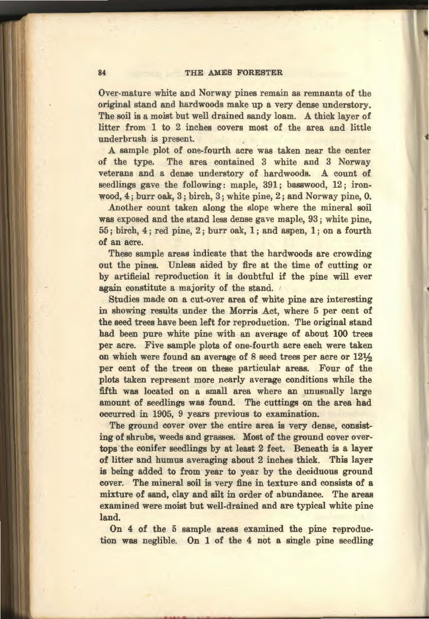#### 84 THE AMES FORESTER

Over-mature white and Norway pines remain as remnants of the original stand and hardwoods make up a very dense understory. The soil is a moist but well drained sandy loam. A thick layer of litter from 1 to 2 inches covers most of the area and little underbrush is present.

A sample plot of one-fourth acre was taken near the center of the type. The area contained 3 white and 3 Norway veterans and a dense understory of hardwoods. A count of seedlings gave the following: maple, 391; basswood, 12; ironwood, 4; burr oak, 3; birch, 3; white pine, 2; and Norway pine, 0.

Another count taken along the slope where the mineral soil was exposed and the stand less dense gave maple, 93; white pine, 55; birch, 4; red pine, 2; burr oak, 1; and aspen, 1; on a fourth of an acre.

These sample areas indicate that the hardwoods are crowding out the pines. Unless aided by fire at the time of cutting or by artificial reproduction it is doubtful if the pine will ever again constitute a majority of the stand.

Studies made on a cut-over area of white pine are interesting in showing results under the Morris Act, where 5 per cent of the seed trees have been left for reproduction. The original stand had been pure white pine with an average of about 100 trees per acre. Five sample plots of one-fourth acre each were taken on which were found an average of  $8$  seed trees per acre or  $12\frac{1}{2}$ per cent of the trees on these particular areas. Four of the plots taken represent more nearly average conditions while the fifth was located on a small area where an unusually large amount of seedlings was found. The cuttings on the area had occurred in 1905, 9 years previous to examination.

The ground cover over the entire area is very dense, consisting of shrubs, weeds and grasses. Most of the ground cover overtops the conifer seedlings by at least 2 feet. Beneath is a layer of litter and humus averaging about 2 inches thick. This layer is being added to from year to year by the deciduous ground cover. The mineral soil is very fine in texture and consists of a mixture of sand, clay and silt in order of abundance. The areas examined were moist but well-drained and are typical white pine land.

On 4 of the 5 sample areas examined the pine reproduction was neglible. On 1 of the 4 not a single pine seedling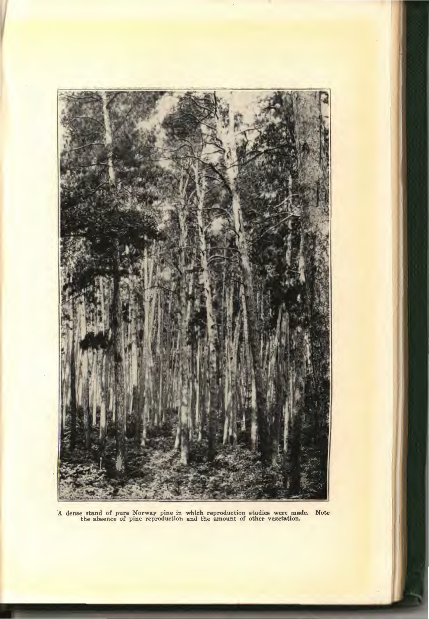

A dense stand of pure Norway pine in which reproduction studies were made. Note **the absence of pine reproduction and the amount of other vegetation.**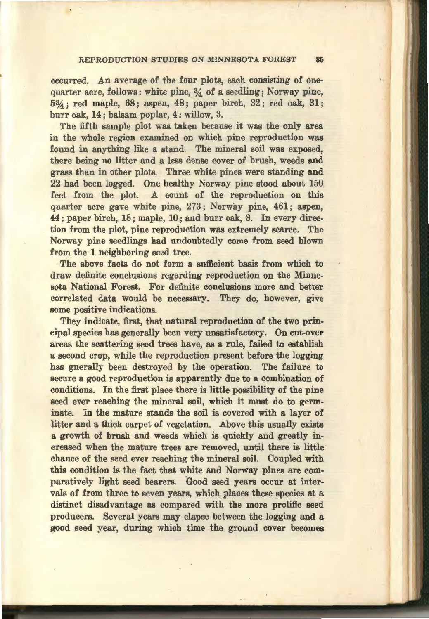#### REPRODUCTION STUDIES ON MINNESOTA FOREST 85

occurred. An average of the four plots, each consisting of onequarter acre, follows: white pine,  $\frac{3}{4}$  of a seedling; Norway pine, 5%; red maple, 68; aspen, 48; paper birch, 32; red oak, 31; burr oak, 14; balsam poplar, 4: willow, 3.

The fifth sample plot was taken because it was the only area in the whole region examined on which pine reproduction was found in anything like a stand. The mineral soil was exposed, there being no litter and a less dense cover of brush, weeds and grass than in other plots. Three white pines were standing and 22 had been logged. One healthy Norway pine stood about 150 feet from the plot. A count of the reproduction on this quarter acre gave white pine, 273 ; Norway pine, 461; aspen, 44; paper birch, 18; maple, 10; and burr oak, 8. In every direction from the plot, pine reproduction was extremely scarce. The Norway pine seedlings had undoubtedly come from seed blown from the 1 neighboring seed tree.

The above facts do not form a sufficient basis from which to draw definite conclusions regarding reproduction on the Minnesota National Forest. For definite conclusions more and better correlated data would be necessary. They do, however, give some positive indications.

They indicate, first, that natural reproduction of the two principal species has generally been very unsatisfactory. On cut-over areas the scattering seed trees have, as a rule, failed to establish a second crop, while the reproduction present before the logging has gnerally been destroyed by the operation. The failure to secure a good reproduction is apparently due to a combination of conditions. In the first place there is little possibility of the pine seed ever reaching the mineral soil, which it must do to germinate. In the mature stands the soil is covered with a layer of litter and a thick carpet of vegetation. Above this usually exists a growth of brush and weeds which is quickly and greatly increased when the mature trees are removed, until there is little chance of the seed ever reaching the mineral soil. Coupled with this condition is the fact that white and Norway pines are comparatively light seed bearers. Good seed years occur at intervals of from three to seven years, which places these species at a distinct disadvantage as compared with the more prolific seed producers. Several years may elapse between the logging and a good seed year, during which time the ground cover becomes